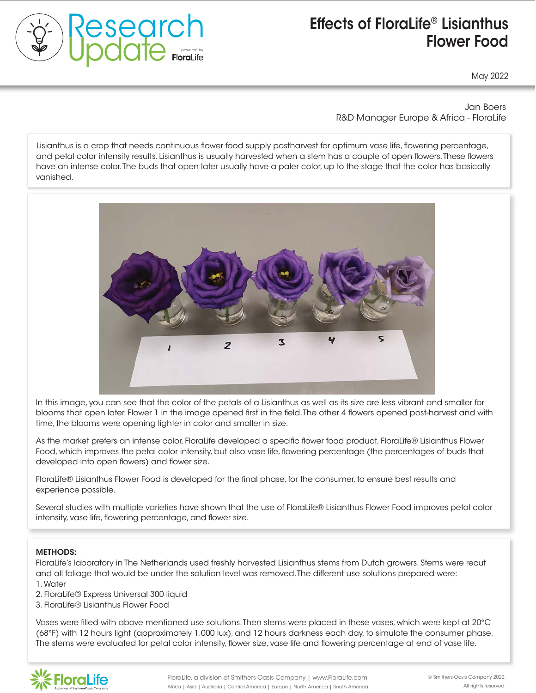

# Effects of FloraLife® Lisianthus consumer's experience with your roses Flower Food

May 2022

Jan Boers R&D Manager Europe & Africa - FloraLife

the natural development of roses. The national development of roses in the continuum was life flowering perceptage and petal color intensity results. Lisianthus is usually harvested when a stem has a couple of open flowers. These flowers and perdiction interiory results. Elan have an intense color. The buds that open later usually have a paler color, up to the stage that the color has basically person browning associated with sense  $\mathcal{L}$ Lisianthus is a crop that needs continuous flower food supply postharvest for optimum vase life, flowering percentage, vanished.



In this image, you can see that the color of the petals of a Lisianthus as well as its size are less vibrant and smaller for blooms that open later. Flower 1 in the image opened first in the field. The other 4 flowers opened post-harvest and with time, the blooms were opening lighter in color and smaller in size.  $\mathcal{L} = \mathcal{L} \mathcal{L}$ 

As the market prefers an intense color, FloraLife developed a specific flower food product, FloraLife® Lisianthus Flower Food, which improves the petal color intensity, but also vase life, flowering percentage (the percentages of buds that developed into open flowers) and flower size. FloraLife® Express 200 storage solution for

FloraLife® Lisianthus Flower Food is developed for the final phase, for the consumer, to ensure best results and experience possible. filled with FloraLife® Express 300 flower food

Several studies with multiple varieties have shown that the use of FloraLife® Lisianthus Flower Food improves petal color intensity, vase life, flowering percentage, and flower size.

#### was determined, and photos were taken on the photos were taken on the photos were taken on the photos were take METHODS:

1. Water FloraLife's laboratory in The Netherlands used freshly harvested Lisianthus stems from Dutch growers. Stems were recut and all foliage that would be under the solution level was removed. The different use solutions prepared were:

2. FloraLife® Express Universal 300 liquid

3. FloraLife® Lisianthus Flower Food

Vases were filled with above mentioned use solutions. Then stems were placed in these vases, which were kept at 20°C  $\,$ (68°F) with 12 hours light (approximately 1.000 lux), and 12 hours darkness each day, to simulate the consumer phase. recently interesting increase increased variables the contract of 2.4 days. The state of 2.4 days. The stems were evaluated for petal color intensity, flower size, vase life and flowering percentage at end of vase life. The stems were evaluated for petal color intensity, flower size, vase life and flowering percentage at end of vase life.<br>

200 and vases of FloraLife® Express 300 increased vase life and flower opening

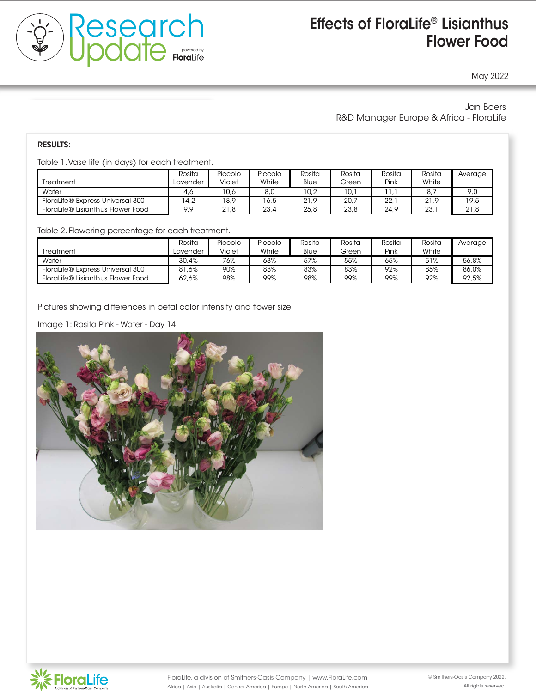

# Effects of FloraLife® Lisianthus consumers and the second series of  $\sim$  Flower Food

May 2022

### Jan Boers R&D Manager Europe & Africa - FloraLife

additional 0.4 cm with 'Pink Floyd' to 1.5 cm with 'Freedom' and 'High and Exotic'.

200 and vases of FloraLife® Express 300 increased vase life and flower opening

FloraLife® Rose Enhancer increased vase life by 2.4 days and flower diameter

#### the natural development of  $r$  roses. The roses of  $r$

Table 1. Vase life (in days) for each treatment.

| <u>RODIO T. VOJO INO (ILI OOVJ) IOI OOOH HOOHHOHH.</u> |          |         |         |        |        |        |             |         |  |  |  |
|--------------------------------------------------------|----------|---------|---------|--------|--------|--------|-------------|---------|--|--|--|
|                                                        | Rosita   | Piccolo | Piccolo | Rosita | Rosita | Rosita | Rosita      | Average |  |  |  |
| Treatment                                              | Lavender | Violet  | White   | Blue   | Green  | Pink   | White       |         |  |  |  |
| Water                                                  | 4.6      | 10.6    | 8,0     | 10.2   | 10.1   |        | $8_{\cdot}$ | 9,0     |  |  |  |
| FloraLife® Express Universal 300                       | 4.2      | 18.9    | 6.5     | 21.9   | 20.7   | 22.7   | 21.9        | 19,5    |  |  |  |
| FloraLife® Lisianthus Flower Food                      | 9.9      | 21.8    | 23.4    | 25.8   | 23.8   | 24.9   | 23.7        | 21,8    |  |  |  |

Table 2. Flowering percentage for each treat Table 2. Flowering percentage for each treatment.<br>The solution of the solution of the solution of the solution.

|                                   | Rosita   | Piccolo | Piccolo | Rosita | Rosita | Rosita | Rosita | Average |
|-----------------------------------|----------|---------|---------|--------|--------|--------|--------|---------|
| Treatment                         | Lavender | Violet  | White   | Blue   | Green  | Pink   | White  |         |
| Water                             | 30.4%    | 76%     | 63%     | 57%    | 55%    | 65%    | 51%    | 56.8%   |
| FloraLife® Express Universal 300  | 81.6%    | 90%     | 88%     | 83%    | 83%    | 92%    | 85%    | 86.0%   |
| FloraLife® Lisianthus Flower Food | 62.6%    | 98%     | 99%     | 98%    | 99%    | 99%    | 92%    | 92.5%   |
|                                   |          |         |         |        |        |        |        |         |

Pictures showing differences in petal color intensity and flower size:

Image 1: Rosita Pink - Water - Day 14